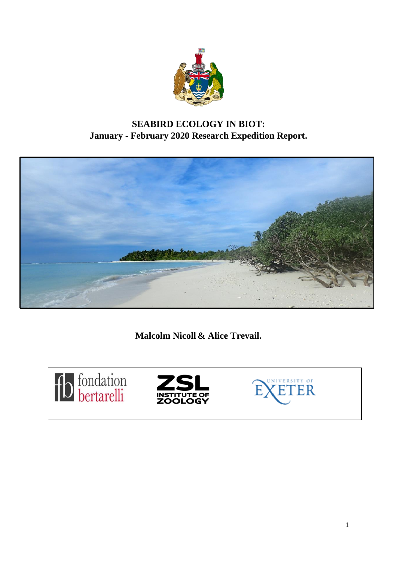

# **SEABIRD ECOLOGY IN BIOT: January - February 2020 Research Expedition Report.**



**Malcolm Nicoll & Alice Trevail.**





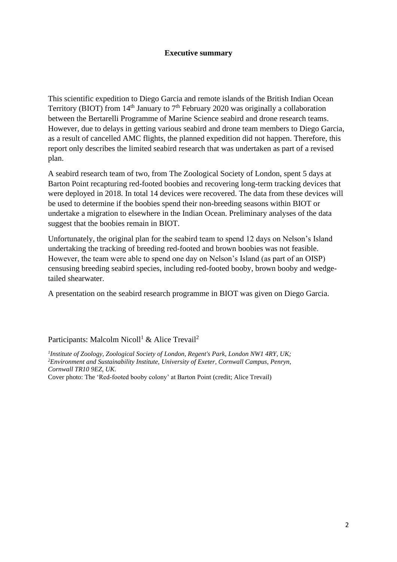#### **Executive summary**

This scientific expedition to Diego Garcia and remote islands of the British Indian Ocean Territory (BIOT) from  $14<sup>th</sup>$  January to  $7<sup>th</sup>$  February 2020 was originally a collaboration between the Bertarelli Programme of Marine Science seabird and drone research teams. However, due to delays in getting various seabird and drone team members to Diego Garcia, as a result of cancelled AMC flights, the planned expedition did not happen. Therefore, this report only describes the limited seabird research that was undertaken as part of a revised plan.

A seabird research team of two, from The Zoological Society of London, spent 5 days at Barton Point recapturing red-footed boobies and recovering long-term tracking devices that were deployed in 2018. In total 14 devices were recovered. The data from these devices will be used to determine if the boobies spend their non-breeding seasons within BIOT or undertake a migration to elsewhere in the Indian Ocean. Preliminary analyses of the data suggest that the boobies remain in BIOT.

Unfortunately, the original plan for the seabird team to spend 12 days on Nelson's Island undertaking the tracking of breeding red-footed and brown boobies was not feasible. However, the team were able to spend one day on Nelson's Island (as part of an OISP) censusing breeding seabird species, including red-footed booby, brown booby and wedgetailed shearwater.

A presentation on the seabird research programme in BIOT was given on Diego Garcia.

Participants: Malcolm Nicoll<sup>1</sup> & Alice Trevail<sup>2</sup>

*1 Institute of Zoology, Zoological Society of London, Regent's Park, London NW1 4RY, UK; <sup>2</sup>Environment and Sustainability Institute, University of Exeter, Cornwall Campus, Penryn, Cornwall TR10 9EZ, UK.*

Cover photo: The 'Red-footed booby colony' at Barton Point (credit; Alice Trevail)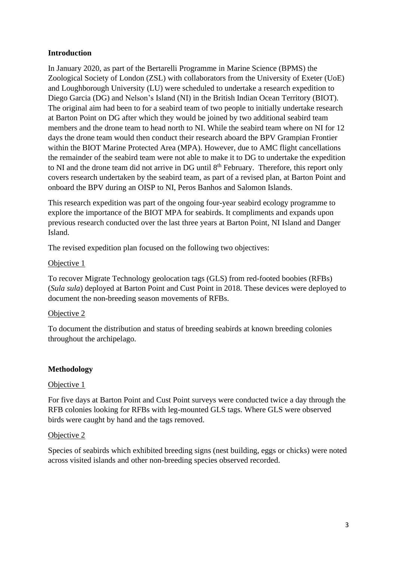#### **Introduction**

In January 2020, as part of the Bertarelli Programme in Marine Science (BPMS) the Zoological Society of London (ZSL) with collaborators from the University of Exeter (UoE) and Loughborough University (LU) were scheduled to undertake a research expedition to Diego Garcia (DG) and Nelson's Island (NI) in the British Indian Ocean Territory (BIOT). The original aim had been to for a seabird team of two people to initially undertake research at Barton Point on DG after which they would be joined by two additional seabird team members and the drone team to head north to NI. While the seabird team where on NI for 12 days the drone team would then conduct their research aboard the BPV Grampian Frontier within the BIOT Marine Protected Area (MPA). However, due to AMC flight cancellations the remainder of the seabird team were not able to make it to DG to undertake the expedition to NI and the drone team did not arrive in DG until 8<sup>th</sup> February. Therefore, this report only covers research undertaken by the seabird team, as part of a revised plan, at Barton Point and onboard the BPV during an OISP to NI, Peros Banhos and Salomon Islands.

This research expedition was part of the ongoing four-year seabird ecology programme to explore the importance of the BIOT MPA for seabirds. It compliments and expands upon previous research conducted over the last three years at Barton Point, NI Island and Danger Island.

The revised expedition plan focused on the following two objectives:

#### Objective 1

To recover Migrate Technology geolocation tags (GLS) from red-footed boobies (RFBs) (*Sula sula*) deployed at Barton Point and Cust Point in 2018. These devices were deployed to document the non-breeding season movements of RFBs.

#### Objective 2

To document the distribution and status of breeding seabirds at known breeding colonies throughout the archipelago.

#### **Methodology**

#### Objective 1

For five days at Barton Point and Cust Point surveys were conducted twice a day through the RFB colonies looking for RFBs with leg-mounted GLS tags. Where GLS were observed birds were caught by hand and the tags removed.

#### Objective 2

Species of seabirds which exhibited breeding signs (nest building, eggs or chicks) were noted across visited islands and other non-breeding species observed recorded.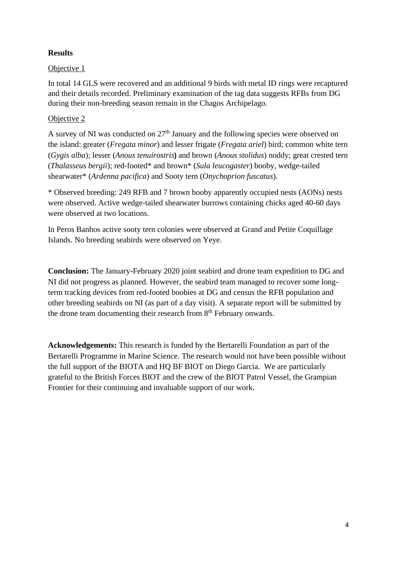## **Results**

## Objective 1

In total 14 GLS were recovered and an additional 9 birds with metal ID rings were recaptured and their details recorded. Preliminary examination of the tag data suggests RFBs from DG during their non-breeding season remain in the Chagos Archipelago.

## Objective 2

A survey of NI was conducted on 27<sup>th</sup> January and the following species were observed on the island: greater (*Fregata minor*) and lesser frigate (*Fregata ariel*) bird; common white tern (*Gygis alba*); lesser (*Anous tenuirostris***)** and brown (*Anous stolidus*) noddy; great crested tern (*Thalasseus bergii*); red-footed\* and brown\* (*Sula leucogaster*) booby, wedge-tailed shearwater\* (*Ardenna pacifica*) and Sooty tern (*Onychoprion fuscatus*).

\* Observed breeding: 249 RFB and 7 brown booby apparently occupied nests (AONs) nests were observed. Active wedge-tailed shearwater burrows containing chicks aged 40-60 days were observed at two locations.

In Peros Banhos active sooty tern colonies were observed at Grand and Petite Coquillage Islands. No breeding seabirds were observed on Yeye.

**Conclusion:** The January-February 2020 joint seabird and drone team expedition to DG and NI did not progress as planned. However, the seabird team managed to recover some longterm tracking devices from red-footed boobies at DG and census the RFB population and other breeding seabirds on NI (as part of a day visit). A separate report will be submitted by the drone team documenting their research from 8<sup>th</sup> February onwards.

**Acknowledgements:** This research is funded by the Bertarelli Foundation as part of the Bertarelli Programme in Marine Science. The research would not have been possible without the full support of the BIOTA and HQ BF BIOT on Diego Garcia. We are particularly grateful to the British Forces BIOT and the crew of the BIOT Patrol Vessel, the Grampian Frontier for their continuing and invaluable support of our work.